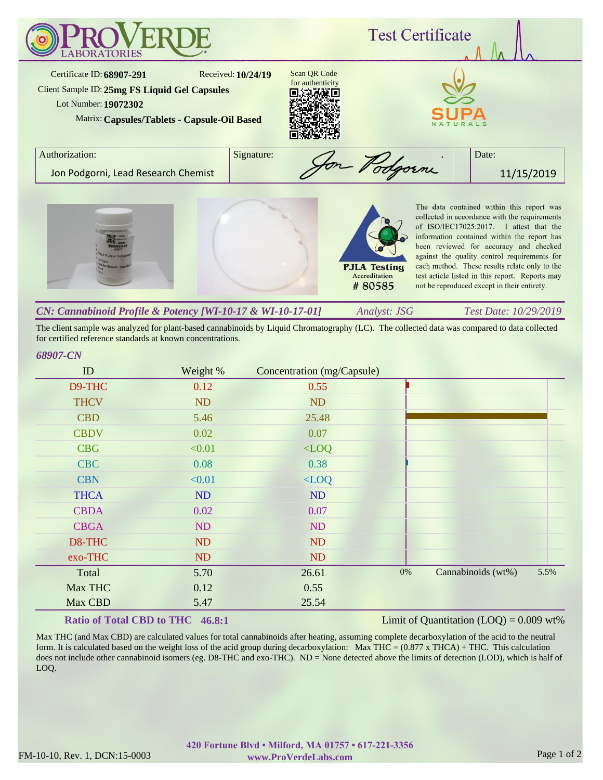

| CN: Cannabinoid Profile & Potency [WI-10-17 & WI-10-17-01] | Analyst: JSG | <i>Test Date: 10/29/2019</i> |
|------------------------------------------------------------|--------------|------------------------------|
|                                                            |              |                              |

The client sample was analyzed for plant-based cannabinoids by Liquid Chromatography (LC). The collected data was compared to data collected for certified reference standards at known concentrations.

## *68907-CN*

| ID          | Weight % | Concentration (mg/Capsule) |       |                    |      |
|-------------|----------|----------------------------|-------|--------------------|------|
| D9-THC      | 0.12     | 0.55                       |       |                    |      |
| <b>THCV</b> | ND       | ND                         |       |                    |      |
| <b>CBD</b>  | 5.46     | 25.48                      |       |                    |      |
| <b>CBDV</b> | 0.02     | 0.07                       |       |                    |      |
| <b>CBG</b>  | < 0.01   | $<$ LOQ                    |       |                    |      |
| <b>CBC</b>  | 0.08     | 0.38                       |       |                    |      |
| <b>CBN</b>  | < 0.01   | $\langle$ LOQ              |       |                    |      |
| <b>THCA</b> | ND       | ND                         |       |                    |      |
| <b>CBDA</b> | 0.02     | 0.07                       |       |                    |      |
| <b>CBGA</b> | ND       | <b>ND</b>                  |       |                    |      |
| D8-THC      | ND       | ND                         |       |                    |      |
| exo-THC     | ND       | <b>ND</b>                  |       |                    |      |
| Total       | 5.70     | 26.61                      | $0\%$ | Cannabinoids (wt%) | 5.5% |
| Max THC     | 0.12     | 0.55                       |       |                    |      |
| Max CBD     | 5.47     | 25.54                      |       |                    |      |

## **Ratio of Total CBD to THC 46.8:1**

## Limit of Quantitation  $(LOQ) = 0.009$  wt%

Max THC (and Max CBD) are calculated values for total cannabinoids after heating, assuming complete decarboxylation of the acid to the neutral form. It is calculated based on the weight loss of the acid group during decarboxylation: Max THC =  $(0.877 \times THCA) + THC$ . This calculation does not include other cannabinoid isomers (eg. D8-THC and exo-THC). ND = None detected above the limits of detection (LOD), which is half of LOQ.